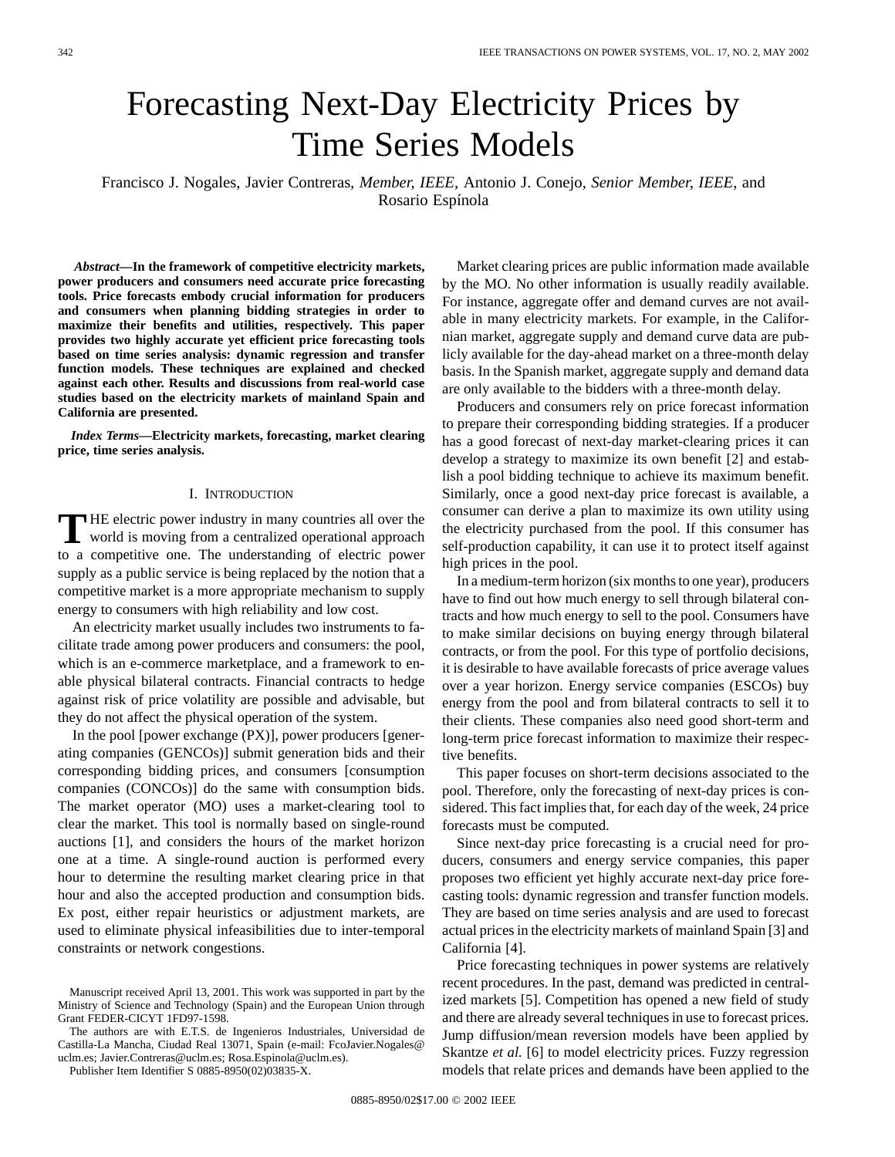# Forecasting Next-Day Electricity Prices by Time Series Models

Francisco J. Nogales, Javier Contreras*, Member, IEEE*, Antonio J. Conejo*, Senior Member, IEEE*, and Rosario Espínola

*Abstract—***In the framework of competitive electricity markets, power producers and consumers need accurate price forecasting tools. Price forecasts embody crucial information for producers and consumers when planning bidding strategies in order to maximize their benefits and utilities, respectively. This paper provides two highly accurate yet efficient price forecasting tools based on time series analysis: dynamic regression and transfer function models. These techniques are explained and checked against each other. Results and discussions from real-world case studies based on the electricity markets of mainland Spain and California are presented.**

*Index Terms—***Electricity markets, forecasting, market clearing price, time series analysis.**

## I. INTRODUCTION

THE electric power industry in many countries all over the world is moving from a centralized operational approach to a competitive one. The understanding of electric power supply as a public service is being replaced by the notion that a competitive market is a more appropriate mechanism to supply energy to consumers with high reliability and low cost.

An electricity market usually includes two instruments to facilitate trade among power producers and consumers: the pool, which is an e-commerce marketplace, and a framework to enable physical bilateral contracts. Financial contracts to hedge against risk of price volatility are possible and advisable, but they do not affect the physical operation of the system.

In the pool [power exchange (PX)], power producers [generating companies (GENCOs)] submit generation bids and their corresponding bidding prices, and consumers [consumption companies (CONCOs)] do the same with consumption bids. The market operator (MO) uses a market-clearing tool to clear the market. This tool is normally based on single-round auctions [1], and considers the hours of the market horizon one at a time. A single-round auction is performed every hour to determine the resulting market clearing price in that hour and also the accepted production and consumption bids. Ex post, either repair heuristics or adjustment markets, are used to eliminate physical infeasibilities due to inter-temporal constraints or network congestions.

The authors are with E.T.S. de Ingenieros Industriales, Universidad de Castilla-La Mancha, Ciudad Real 13071, Spain (e-mail: FcoJavier.Nogales@ uclm.es; Javier.Contreras@uclm.es; Rosa.Espinola@uclm.es).

Publisher Item Identifier S 0885-8950(02)03835-X.

Market clearing prices are public information made available by the MO. No other information is usually readily available. For instance, aggregate offer and demand curves are not available in many electricity markets. For example, in the Californian market, aggregate supply and demand curve data are publicly available for the day-ahead market on a three-month delay basis. In the Spanish market, aggregate supply and demand data are only available to the bidders with a three-month delay.

Producers and consumers rely on price forecast information to prepare their corresponding bidding strategies. If a producer has a good forecast of next-day market-clearing prices it can develop a strategy to maximize its own benefit [2] and establish a pool bidding technique to achieve its maximum benefit. Similarly, once a good next-day price forecast is available, a consumer can derive a plan to maximize its own utility using the electricity purchased from the pool. If this consumer has self-production capability, it can use it to protect itself against high prices in the pool.

In a medium-term horizon (six months to one year), producers have to find out how much energy to sell through bilateral contracts and how much energy to sell to the pool. Consumers have to make similar decisions on buying energy through bilateral contracts, or from the pool. For this type of portfolio decisions, it is desirable to have available forecasts of price average values over a year horizon. Energy service companies (ESCOs) buy energy from the pool and from bilateral contracts to sell it to their clients. These companies also need good short-term and long-term price forecast information to maximize their respective benefits.

This paper focuses on short-term decisions associated to the pool. Therefore, only the forecasting of next-day prices is considered. This fact implies that, for each day of the week, 24 price forecasts must be computed.

Since next-day price forecasting is a crucial need for producers, consumers and energy service companies, this paper proposes two efficient yet highly accurate next-day price forecasting tools: dynamic regression and transfer function models. They are based on time series analysis and are used to forecast actual prices in the electricity markets of mainland Spain [3] and California [4].

Price forecasting techniques in power systems are relatively recent procedures. In the past, demand was predicted in centralized markets [5]. Competition has opened a new field of study and there are already several techniques in use to forecast prices. Jump diffusion/mean reversion models have been applied by Skantze *et al.* [6] to model electricity prices. Fuzzy regression models that relate prices and demands have been applied to the

Manuscript received April 13, 2001. This work was supported in part by the Ministry of Science and Technology (Spain) and the European Union through Grant FEDER-CICYT 1FD97-1598.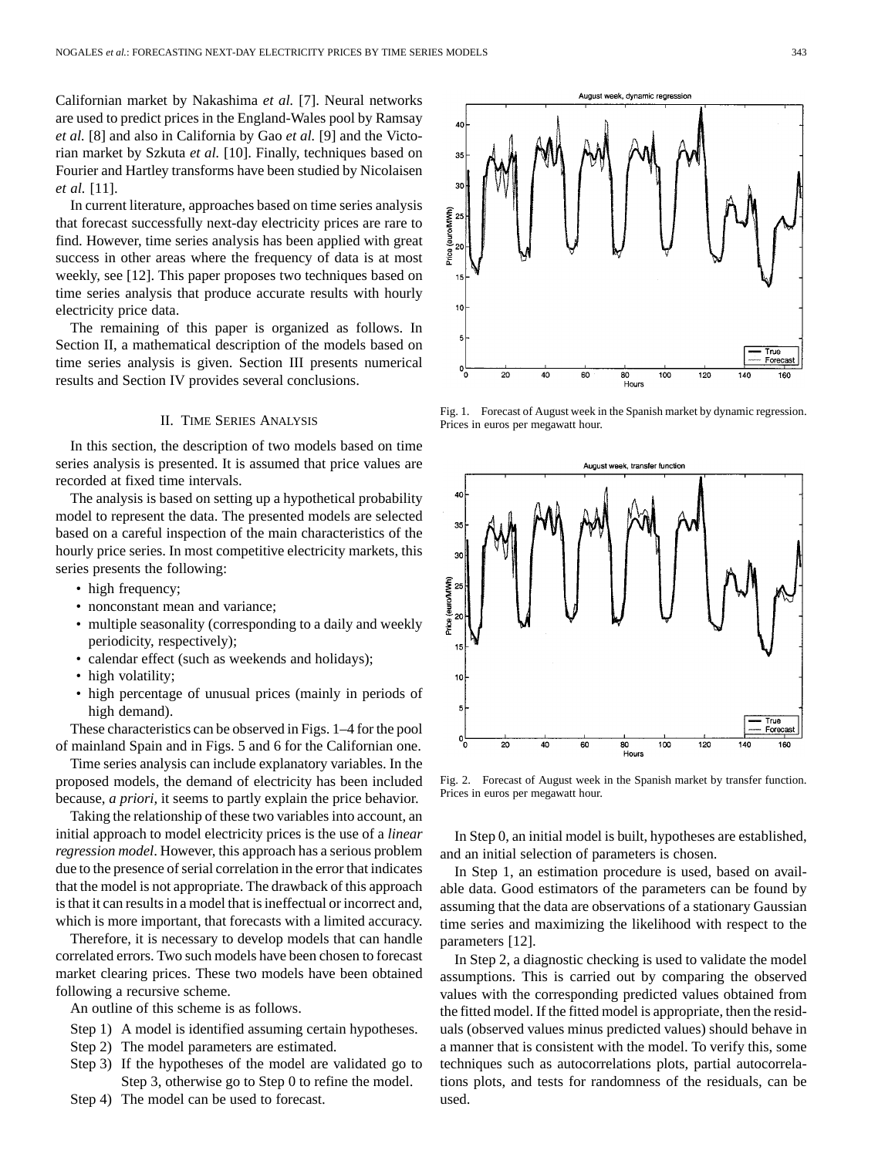Californian market by Nakashima *et al.* [7]. Neural networks are used to predict prices in the England-Wales pool by Ramsay *et al.* [8] and also in California by Gao *et al.* [9] and the Victorian market by Szkuta *et al.* [10]. Finally, techniques based on Fourier and Hartley transforms have been studied by Nicolaisen *et al.* [11].

In current literature, approaches based on time series analysis that forecast successfully next-day electricity prices are rare to find. However, time series analysis has been applied with great success in other areas where the frequency of data is at most weekly, see [12]. This paper proposes two techniques based on time series analysis that produce accurate results with hourly electricity price data.

The remaining of this paper is organized as follows. In Section II, a mathematical description of the models based on time series analysis is given. Section III presents numerical results and Section IV provides several conclusions.

## II. TIME SERIES ANALYSIS

In this section, the description of two models based on time series analysis is presented. It is assumed that price values are recorded at fixed time intervals.

The analysis is based on setting up a hypothetical probability model to represent the data. The presented models are selected based on a careful inspection of the main characteristics of the hourly price series. In most competitive electricity markets, this series presents the following:

- high frequency;
- nonconstant mean and variance;
- multiple seasonality (corresponding to a daily and weekly periodicity, respectively);
- calendar effect (such as weekends and holidays);
- high volatility;
- high percentage of unusual prices (mainly in periods of high demand).

These characteristics can be observed in Figs. 1–4 for the pool of mainland Spain and in Figs. 5 and 6 for the Californian one.

Time series analysis can include explanatory variables. In the proposed models, the demand of electricity has been included because, *a priori,* it seems to partly explain the price behavior.

Taking the relationship of these two variables into account, an initial approach to model electricity prices is the use of a *linear regression model*. However, this approach has a serious problem due to the presence of serial correlation in the error that indicates that the model is not appropriate. The drawback of this approach is that it can results in a model that is ineffectual or incorrect and, which is more important, that forecasts with a limited accuracy.

Therefore, it is necessary to develop models that can handle correlated errors. Two such models have been chosen to forecast market clearing prices. These two models have been obtained following a recursive scheme.

An outline of this scheme is as follows.

- Step 1) A model is identified assuming certain hypotheses.
- Step 2) The model parameters are estimated.
- Step 3) If the hypotheses of the model are validated go to Step 3, otherwise go to Step 0 to refine the model.
- Step 4) The model can be used to forecast.



Fig. 1. Forecast of August week in the Spanish market by dynamic regression. Prices in euros per megawatt hour.



Fig. 2. Forecast of August week in the Spanish market by transfer function. Prices in euros per megawatt hour.

In Step 0, an initial model is built, hypotheses are established, and an initial selection of parameters is chosen.

In Step 1, an estimation procedure is used, based on available data. Good estimators of the parameters can be found by assuming that the data are observations of a stationary Gaussian time series and maximizing the likelihood with respect to the parameters [12].

In Step 2, a diagnostic checking is used to validate the model assumptions. This is carried out by comparing the observed values with the corresponding predicted values obtained from the fitted model. If the fitted model is appropriate, then the residuals (observed values minus predicted values) should behave in a manner that is consistent with the model. To verify this, some techniques such as autocorrelations plots, partial autocorrelations plots, and tests for randomness of the residuals, can be used.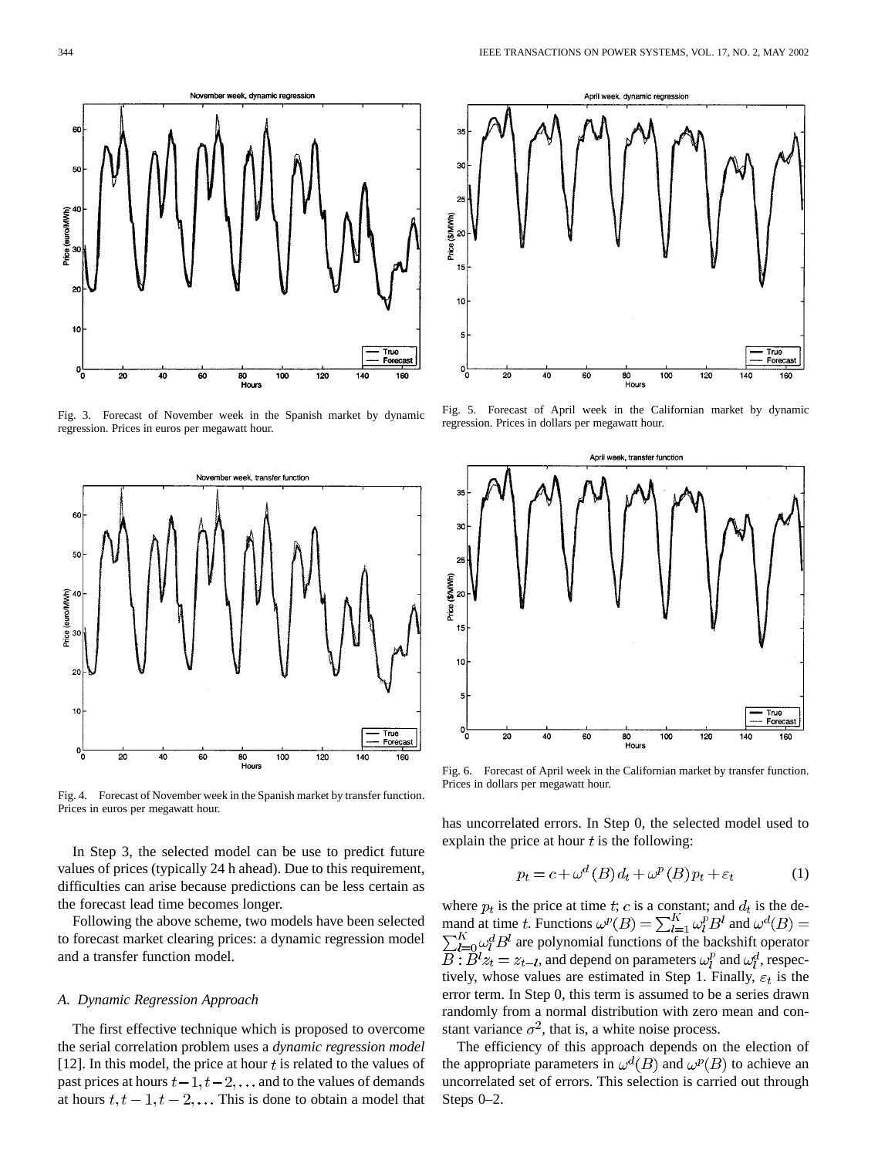

Fig. 3. Forecast of November week in the Spanish market by dynamic regression. Prices in euros per megawatt hour.



Fig. 4. Forecast of November week in the Spanish market by transfer function. Prices in euros per megawatt hour.

In Step 3, the selected model can be use to predict future values of prices (typically 24 h ahead). Due to this requirement, difficulties can arise because predictions can be less certain as the forecast lead time becomes longer.

Following the above scheme, two models have been selected to forecast market clearing prices: a dynamic regression model and a transfer function model.

## *A. Dynamic Regression Approach*

The first effective technique which is proposed to overcome the serial correlation problem uses a *dynamic regression model* [12]. In this model, the price at hour  $t$  is related to the values of past prices at hours  $t-1, t-2, \ldots$  and to the values of demands at hours  $t, t - 1, t - 2, \dots$  This is done to obtain a model that



Fig. 5. Forecast of April week in the Californian market by dynamic regression. Prices in dollars per megawatt hour.



Fig. 6. Forecast of April week in the Californian market by transfer function. Prices in dollars per megawatt hour.

has uncorrelated errors. In Step 0, the selected model used to explain the price at hour  $t$  is the following:

$$
p_t = c + \omega^d(B) d_t + \omega^p(B) p_t + \varepsilon_t \tag{1}
$$

where  $p_t$  is the price at time t; c is a constant; and  $d_t$  is the demand at time t. Functions  $\omega^p(B) = \sum_{l=1}^K \omega_l^p B^l$  and  $\sum_{l=0}^{K} \omega_l^d B^l$  are polynomial functions of the backshift operator  $\overline{B}$ :  $\overline{B}^l z_t = z_{t-l}$ , and depend on parameters  $\omega_l^p$  and  $\omega_l^d$ , respectively, whose values are estimated in Step 1. Finally,  $\varepsilon_t$  is the error term. In Step 0, this term is assumed to be a series drawn randomly from a normal distribution with zero mean and constant variance  $\sigma^2$ , that is, a white noise process.

The efficiency of this approach depends on the election of the appropriate parameters in  $\omega^d(B)$  and  $\omega^p(B)$  to achieve an uncorrelated set of errors. This selection is carried out through Steps 0–2.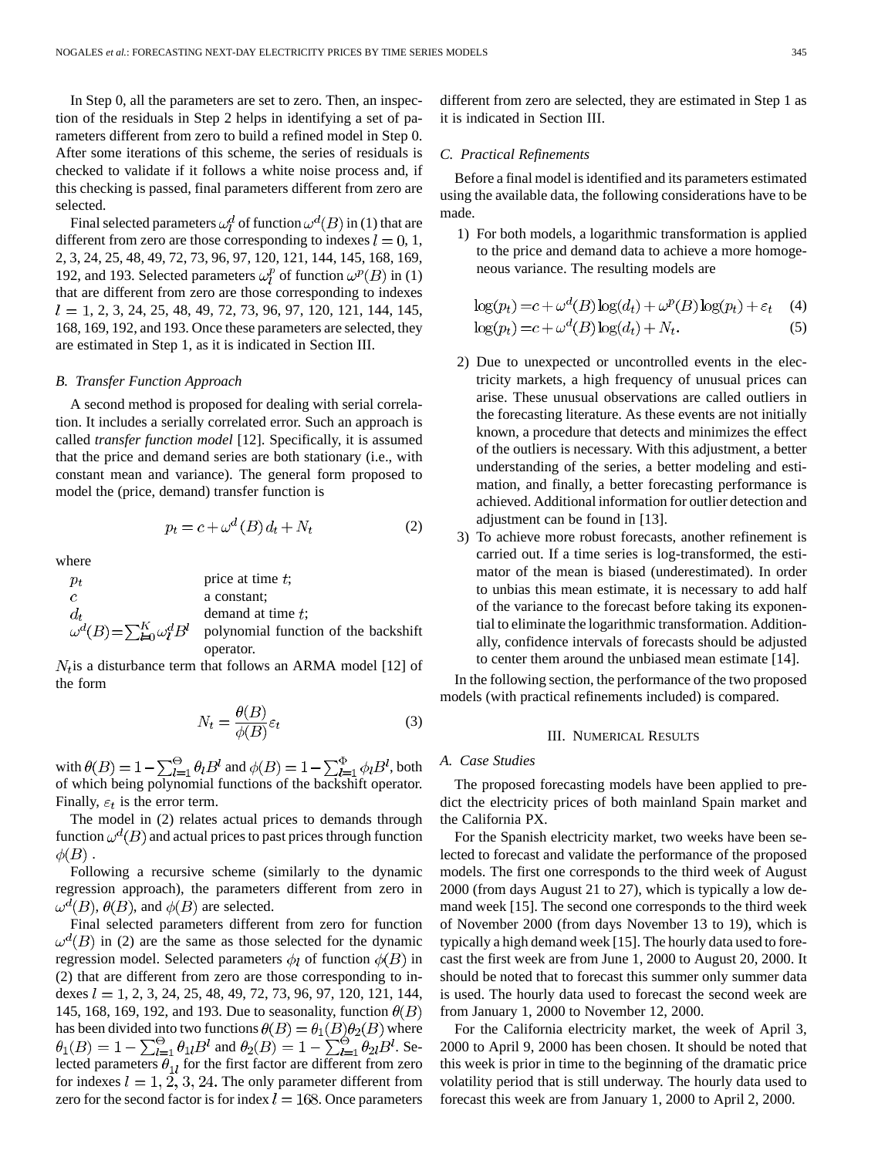In Step 0, all the parameters are set to zero. Then, an inspection of the residuals in Step 2 helps in identifying a set of parameters different from zero to build a refined model in Step 0. After some iterations of this scheme, the series of residuals is checked to validate if it follows a white noise process and, if this checking is passed, final parameters different from zero are selected.

Final selected parameters  $\omega_l^d$  of function  $\omega^d(B)$  in (1) that are different from zero are those corresponding to indexes  $l = 0, 1$ , 2, 3, 24, 25, 48, 49, 72, 73, 96, 97, 120, 121, 144, 145, 168, 169, 192, and 193. Selected parameters  $\omega_i^p$  of function  $\omega^p(B)$  in (1) that are different from zero are those corresponding to indexes  $l = 1, 2, 3, 24, 25, 48, 49, 72, 73, 96, 97, 120, 121, 144, 145,$ 168, 169, 192, and 193. Once these parameters are selected, they are estimated in Step 1, as it is indicated in Section III.

## *B. Transfer Function Approach*

A second method is proposed for dealing with serial correlation. It includes a serially correlated error. Such an approach is called *transfer function model* [12]. Specifically, it is assumed that the price and demand series are both stationary (i.e., with constant mean and variance). The general form proposed to model the (price, demand) transfer function is

$$
p_t = c + \omega^d \left( B \right) d_t + N_t \tag{2}
$$

where

| $p_t$         | price at time $t$ ;                                                              |
|---------------|----------------------------------------------------------------------------------|
| $\mathcal{C}$ | a constant:                                                                      |
| $d_{t}$       | demand at time $t$ .                                                             |
|               | $\omega^d(B) = \sum_{k=1}^K \omega^d_l B^l$ polynomial function of the backshift |
|               | operator.                                                                        |

 $N_t$  is a disturbance term that follows an ARMA model [12] of the form

$$
N_t = \frac{\theta(B)}{\phi(B)} \varepsilon_t \tag{3}
$$

with  $\theta(B) = 1 - \sum_{l=1}^{\Theta} \theta_l B^l$  and  $\phi(B) = 1 - \sum_{l=1}^{\Phi} \phi_l B^l$ , both of which being polynomial functions of the backshift operator. Finally,  $\varepsilon_t$  is the error term.

The model in (2) relates actual prices to demands through function  $\omega^d(B)$  and actual prices to past prices through function  $\phi(B)$ .

Following a recursive scheme (similarly to the dynamic regression approach), the parameters different from zero in  $\omega^d(B)$ ,  $\theta(B)$ , and  $\phi(B)$  are selected.

Final selected parameters different from zero for function  $\omega<sup>d</sup>(B)$  in (2) are the same as those selected for the dynamic regression model. Selected parameters  $\phi_l$  of function  $\phi(B)$  in (2) that are different from zero are those corresponding to indexes  $l = 1, 2, 3, 24, 25, 48, 49, 72, 73, 96, 97, 120, 121, 144,$ 145, 168, 169, 192, and 193. Due to seasonality, function  $\theta(B)$ has been divided into two functions  $\theta(B) = \theta_1(B)\theta_2(B)$  where and  $\theta_2(B) = 1 - \sum_{l=1}^{9} \theta_{2l} B^l$ . Selected parameters  $\theta_{1l}$  for the first factor are different from zero for indexes  $l = 1, 2, 3, 24$ . The only parameter different from zero for the second factor is for index  $l = 168$ . Once parameters different from zero are selected, they are estimated in Step 1 as it is indicated in Section III.

# *C. Practical Refinements*

Before a final model is identified and its parameters estimated using the available data, the following considerations have to be made.

1) For both models, a logarithmic transformation is applied to the price and demand data to achieve a more homogeneous variance. The resulting models are

$$
\log(p_t) = c + \omega^d(B) \log(d_t) + \omega^p(B) \log(p_t) + \varepsilon_t \quad (4)
$$
  

$$
\log(p_t) = c + \omega^d(B) \log(d_t) + N_t. \quad (5)
$$

- 2) Due to unexpected or uncontrolled events in the electricity markets, a high frequency of unusual prices can arise. These unusual observations are called outliers in the forecasting literature. As these events are not initially known, a procedure that detects and minimizes the effect of the outliers is necessary. With this adjustment, a better understanding of the series, a better modeling and estimation, and finally, a better forecasting performance is achieved. Additional information for outlier detection and adjustment can be found in [13].
- 3) To achieve more robust forecasts, another refinement is carried out. If a time series is log-transformed, the estimator of the mean is biased (underestimated). In order to unbias this mean estimate, it is necessary to add half of the variance to the forecast before taking its exponential to eliminate the logarithmic transformation. Additionally, confidence intervals of forecasts should be adjusted to center them around the unbiased mean estimate [14].

In the following section, the performance of the two proposed models (with practical refinements included) is compared.

#### III. NUMERICAL RESULTS

# *A. Case Studies*

The proposed forecasting models have been applied to predict the electricity prices of both mainland Spain market and the California PX.

For the Spanish electricity market, two weeks have been selected to forecast and validate the performance of the proposed models. The first one corresponds to the third week of August 2000 (from days August 21 to 27), which is typically a low demand week [15]. The second one corresponds to the third week of November 2000 (from days November 13 to 19), which is typically a high demand week [15]. The hourly data used to forecast the first week are from June 1, 2000 to August 20, 2000. It should be noted that to forecast this summer only summer data is used. The hourly data used to forecast the second week are from January 1, 2000 to November 12, 2000.

For the California electricity market, the week of April 3, 2000 to April 9, 2000 has been chosen. It should be noted that this week is prior in time to the beginning of the dramatic price volatility period that is still underway. The hourly data used to forecast this week are from January 1, 2000 to April 2, 2000.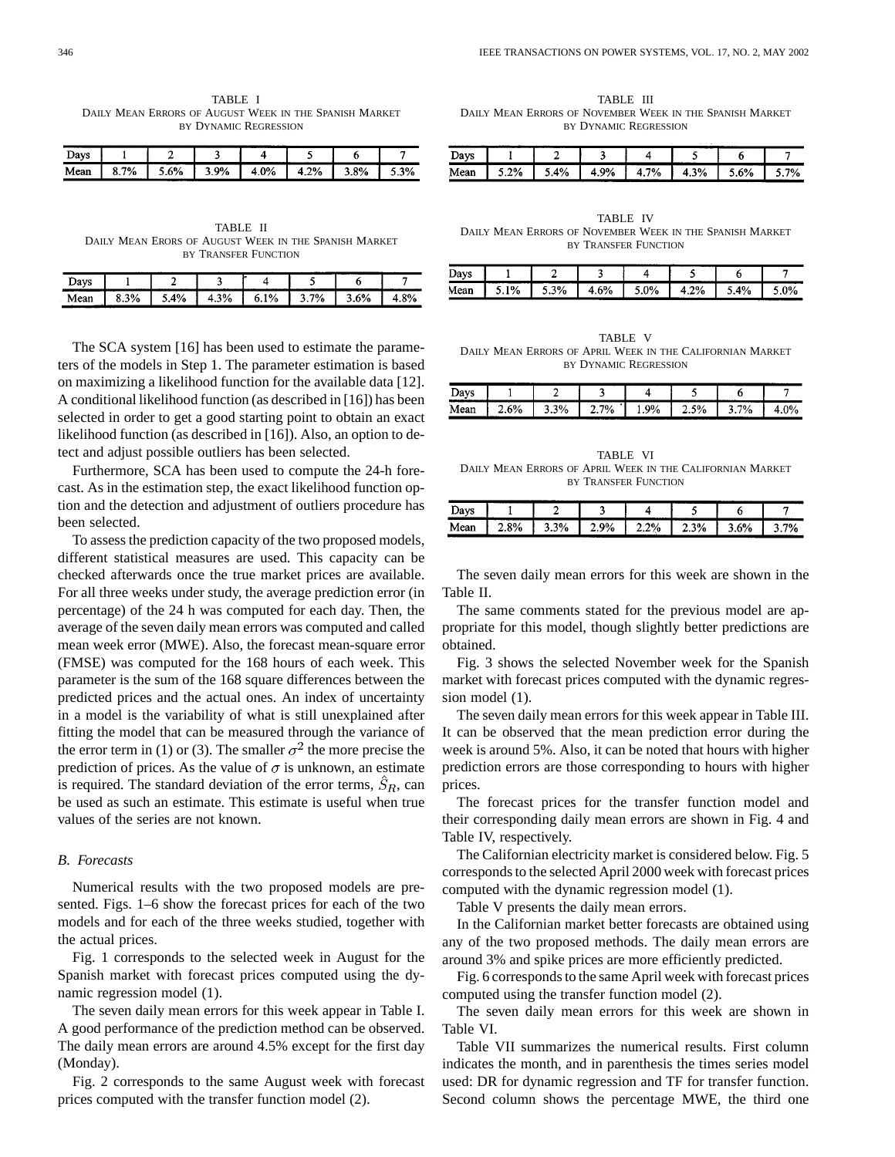TABLE I DAILY MEAN ERRORS OF AUGUST WEEK IN THE SPANISH MARKET BY DYNAMIC REGRESSION

| Davs |      |      |    |      |      |    |      |
|------|------|------|----|------|------|----|------|
| Mean | 8.7% | . 6% | 9% | 4.0% | 4.2% | 8% | -20. |

TABLE II DAILY MEAN ERORS OF AUGUST WEEK IN THE SPANISH MARKET BY TRANSFER FUNCTION

| Davs |           |    |      |    |    |     |       |
|------|-----------|----|------|----|----|-----|-------|
| Mean | 3%<br>د.ه | 4% | 4.3% | 1% | 7% | .6% | $+8%$ |

The SCA system [16] has been used to estimate the parameters of the models in Step 1. The parameter estimation is based on maximizing a likelihood function for the available data [12]. A conditional likelihood function (as described in [16]) has been selected in order to get a good starting point to obtain an exact likelihood function (as described in [16]). Also, an option to detect and adjust possible outliers has been selected.

Furthermore, SCA has been used to compute the 24-h forecast. As in the estimation step, the exact likelihood function option and the detection and adjustment of outliers procedure has been selected.

To assess the prediction capacity of the two proposed models, different statistical measures are used. This capacity can be checked afterwards once the true market prices are available. For all three weeks under study, the average prediction error (in percentage) of the 24 h was computed for each day. Then, the average of the seven daily mean errors was computed and called mean week error (MWE). Also, the forecast mean-square error (FMSE) was computed for the 168 hours of each week. This parameter is the sum of the 168 square differences between the predicted prices and the actual ones. An index of uncertainty in a model is the variability of what is still unexplained after fitting the model that can be measured through the variance of the error term in (1) or (3). The smaller  $\sigma^2$  the more precise the prediction of prices. As the value of  $\sigma$  is unknown, an estimate is required. The standard deviation of the error terms,  $\hat{S}_R$ , can be used as such an estimate. This estimate is useful when true values of the series are not known.

# *B. Forecasts*

Numerical results with the two proposed models are presented. Figs. 1–6 show the forecast prices for each of the two models and for each of the three weeks studied, together with the actual prices.

Fig. 1 corresponds to the selected week in August for the Spanish market with forecast prices computed using the dynamic regression model (1).

The seven daily mean errors for this week appear in Table I. A good performance of the prediction method can be observed. The daily mean errors are around 4.5% except for the first day (Monday).

Fig. 2 corresponds to the same August week with forecast prices computed with the transfer function model (2).

TABLE III DAILY MEAN ERRORS OF NOVEMBER WEEK IN THE SPANISH MARKET BY DYNAMIC REGRESSION

| Days |     |    |           |    |           |    |      |
|------|-----|----|-----------|----|-----------|----|------|
| Mean | .2% | 4% | 9%<br>T.J | 7% | 3%<br>4.J | 6% | -701 |

TABLE IV DAILY MEAN ERRORS OF NOVEMBER WEEK IN THE SPANISH MARKET BY TRANSFER FUNCTION

| Davs |          |                  |      |            | ----------  |           |    |
|------|----------|------------------|------|------------|-------------|-----------|----|
| Mean | /۵<br>70 | 20/<br>.370<br>◡ | +.6% | .007<br>70 | 20/<br>+.∠% | A0/<br>70 | 9% |

TABLE V DAILY MEAN ERRORS OF APRIL WEEK IN THE CALIFORNIAN MARKET BY DYNAMIC REGRESSION

| )ave<br>້ |    |                                   |    |         |      |                                            |  |
|-----------|----|-----------------------------------|----|---------|------|--------------------------------------------|--|
| Mean      | 6% | 20/<br>″0<br>$\ddot{\phantom{0}}$ | 7% | 9%<br>. | 2.5% | -70<br>⁄٥<br>$\tilde{\phantom{a}}$<br>---- |  |

TABLE VI DAILY MEAN ERRORS OF APRIL WEEK IN THE CALIFORNIAN MARKET BY TRANSFER FUNCTION

| Days        | ----- |         |    |                 |      |      |               |
|-------------|-------|---------|----|-----------------|------|------|---------------|
| Mean<br>. . | 8%    | 20.<br> | 9% | 2%<br>,,<br>. 7 | 2.3% | 3.6% | 70.<br>------ |

The seven daily mean errors for this week are shown in the Table II.

The same comments stated for the previous model are appropriate for this model, though slightly better predictions are obtained.

Fig. 3 shows the selected November week for the Spanish market with forecast prices computed with the dynamic regression model (1).

The seven daily mean errors for this week appear in Table III. It can be observed that the mean prediction error during the week is around 5%. Also, it can be noted that hours with higher prediction errors are those corresponding to hours with higher prices.

The forecast prices for the transfer function model and their corresponding daily mean errors are shown in Fig. 4 and Table IV, respectively.

The Californian electricity market is considered below. Fig. 5 corresponds to the selected April 2000 week with forecast prices computed with the dynamic regression model (1).

Table V presents the daily mean errors.

In the Californian market better forecasts are obtained using any of the two proposed methods. The daily mean errors are around 3% and spike prices are more efficiently predicted.

Fig. 6 corresponds to the same April week with forecast prices computed using the transfer function model (2).

The seven daily mean errors for this week are shown in Table VI.

Table VII summarizes the numerical results. First column indicates the month, and in parenthesis the times series model used: DR for dynamic regression and TF for transfer function. Second column shows the percentage MWE, the third one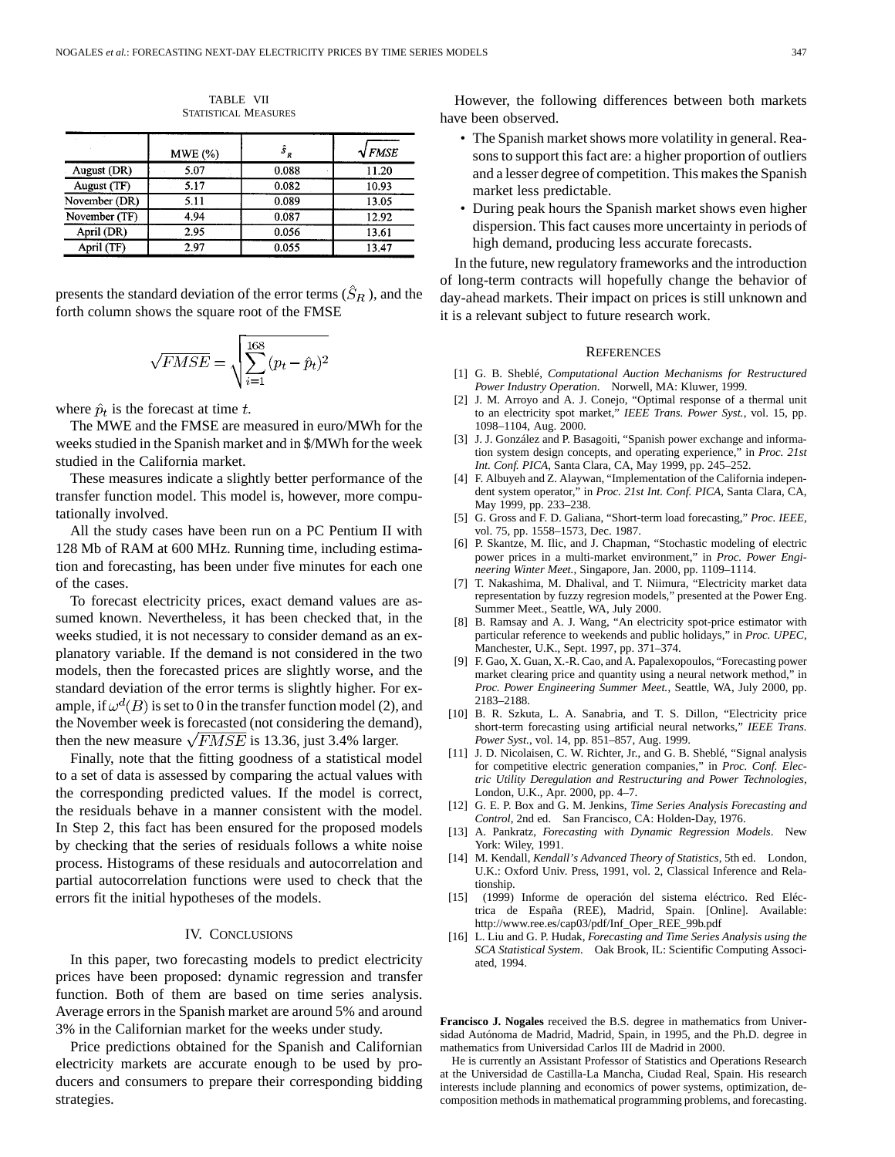|               | MWE(%) | $\hat{s}_R$ | $\sqrt{FMSE}$ |
|---------------|--------|-------------|---------------|
| August (DR)   | 5.07   | 0.088       | 11.20         |
| August (TF)   | 5.17   | 0.082       | 10.93         |
| November (DR) | 5.11   | 0.089       | 13.05         |
| November (TF) | 4.94   | 0.087       | 12.92         |
| April (DR)    | 2.95   | 0.056       | 13.61         |
| April (TF)    | 2.97   | 0.055       | 13.47         |

TABLE VII STATISTICAL MEASURES

presents the standard deviation of the error terms  $(S_R)$ , and the forth column shows the square root of the FMSE

$$
\sqrt{FMSE} = \sqrt{\sum_{i=1}^{168} (p_t - \hat{p}_t)^2}
$$

where  $\hat{p}_t$  is the forecast at time t.

The MWE and the FMSE are measured in euro/MWh for the weeks studied in the Spanish market and in \$/MWh for the week studied in the California market.

These measures indicate a slightly better performance of the transfer function model. This model is, however, more computationally involved.

All the study cases have been run on a PC Pentium II with 128 Mb of RAM at 600 MHz. Running time, including estimation and forecasting, has been under five minutes for each one of the cases.

To forecast electricity prices, exact demand values are assumed known. Nevertheless, it has been checked that, in the weeks studied, it is not necessary to consider demand as an explanatory variable. If the demand is not considered in the two models, then the forecasted prices are slightly worse, and the standard deviation of the error terms is slightly higher. For example, if  $\omega^d(B)$  is set to 0 in the transfer function model (2), and the November week is forecasted (not considering the demand), then the new measure  $\sqrt{FMSE}$  is 13.36, just 3.4% larger.

Finally, note that the fitting goodness of a statistical model to a set of data is assessed by comparing the actual values with the corresponding predicted values. If the model is correct, the residuals behave in a manner consistent with the model. In Step 2, this fact has been ensured for the proposed models by checking that the series of residuals follows a white noise process. Histograms of these residuals and autocorrelation and partial autocorrelation functions were used to check that the errors fit the initial hypotheses of the models.

# IV. CONCLUSIONS

In this paper, two forecasting models to predict electricity prices have been proposed: dynamic regression and transfer function. Both of them are based on time series analysis. Average errors in the Spanish market are around 5% and around 3% in the Californian market for the weeks under study.

Price predictions obtained for the Spanish and Californian electricity markets are accurate enough to be used by producers and consumers to prepare their corresponding bidding strategies.

However, the following differences between both markets have been observed.

- The Spanish market shows more volatility in general. Reasons to support this fact are: a higher proportion of outliers and a lesser degree of competition. This makes the Spanish market less predictable.
- During peak hours the Spanish market shows even higher dispersion. This fact causes more uncertainty in periods of high demand, producing less accurate forecasts.

In the future, new regulatory frameworks and the introduction of long-term contracts will hopefully change the behavior of day-ahead markets. Their impact on prices is still unknown and it is a relevant subject to future research work.

## **REFERENCES**

- [1] G. B. Sheblé, *Computational Auction Mechanisms for Restructured Power Industry Operation*. Norwell, MA: Kluwer, 1999.
- [2] J. M. Arroyo and A. J. Conejo, "Optimal response of a thermal unit to an electricity spot market," *IEEE Trans. Power Syst.*, vol. 15, pp. 1098–1104, Aug. 2000.
- [3] J. J. González and P. Basagoiti, "Spanish power exchange and information system design concepts, and operating experience," in *Proc. 21st Int. Conf. PICA*, Santa Clara, CA, May 1999, pp. 245–252.
- [4] F. Albuyeh and Z. Alaywan, "Implementation of the California independent system operator," in *Proc. 21st Int. Conf. PICA*, Santa Clara, CA, May 1999, pp. 233–238.
- [5] G. Gross and F. D. Galiana, "Short-term load forecasting," *Proc. IEEE*, vol. 75, pp. 1558–1573, Dec. 1987.
- [6] P. Skantze, M. Ilic, and J. Chapman, "Stochastic modeling of electric power prices in a multi-market environment," in *Proc. Power Engineering Winter Meet.*, Singapore, Jan. 2000, pp. 1109–1114.
- [7] T. Nakashima, M. Dhalival, and T. Niimura, "Electricity market data representation by fuzzy regresion models," presented at the Power Eng. Summer Meet., Seattle, WA, July 2000.
- [8] B. Ramsay and A. J. Wang, "An electricity spot-price estimator with particular reference to weekends and public holidays," in *Proc. UPEC*, Manchester, U.K., Sept. 1997, pp. 371–374.
- [9] F. Gao, X. Guan, X.-R. Cao, and A. Papalexopoulos, "Forecasting power market clearing price and quantity using a neural network method," in *Proc. Power Engineering Summer Meet.*, Seattle, WA, July 2000, pp. 2183–2188.
- [10] B. R. Szkuta, L. A. Sanabria, and T. S. Dillon, "Electricity price short-term forecasting using artificial neural networks," *IEEE Trans. Power Syst.*, vol. 14, pp. 851–857, Aug. 1999.
- [11] J. D. Nicolaisen, C. W. Richter, Jr., and G. B. Sheblé, "Signal analysis for competitive electric generation companies," in *Proc. Conf. Electric Utility Deregulation and Restructuring and Power Technologies*, London, U.K., Apr. 2000, pp. 4–7.
- [12] G. E. P. Box and G. M. Jenkins, *Time Series Analysis Forecasting and Control*, 2nd ed. San Francisco, CA: Holden-Day, 1976.
- [13] A. Pankratz, *Forecasting with Dynamic Regression Models*. New York: Wiley, 1991.
- [14] M. Kendall, *Kendall's Advanced Theory of Statistics*, 5th ed. London, U.K.: Oxford Univ. Press, 1991, vol. 2, Classical Inference and Relationship.
- [15] (1999) Informe de operación del sistema eléctrico. Red Eléctrica de España (REE), Madrid, Spain. [Online]. Available: http://www.ree.es/cap03/pdf/Inf\_Oper\_REE\_99b.pdf
- [16] L. Liu and G. P. Hudak, *Forecasting and Time Series Analysis using the SCA Statistical System*. Oak Brook, IL: Scientific Computing Associated, 1994.

**Francisco J. Nogales** received the B.S. degree in mathematics from Universidad Autónoma de Madrid, Madrid, Spain, in 1995, and the Ph.D. degree in mathematics from Universidad Carlos III de Madrid in 2000.

He is currently an Assistant Professor of Statistics and Operations Research at the Universidad de Castilla-La Mancha, Ciudad Real, Spain. His research interests include planning and economics of power systems, optimization, decomposition methods in mathematical programming problems, and forecasting.